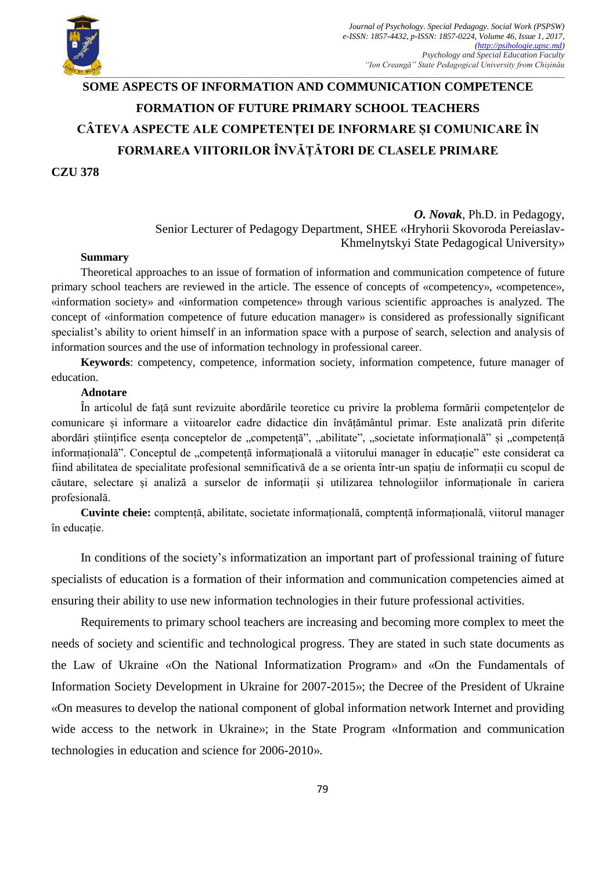

## **SOME ASPECTS OF INFORMATION AND COMMUNICATION COMPETENCE FORMATION OF FUTURE PRIMARY SCHOOL TEACHERS CÂTEVA ASPECTE ALE COMPETENȚEI DE INFORMARE ȘI COMUNICARE ÎN FORMAREA VIITORILOR ÎNVĂȚĂTORI DE CLASELE PRIMARE**

**CZU 378**

*O. Novak*, Ph.D. in Pedagogy, Senior Lecturer of Pedagogy Department, SHEE «Hryhorii Skovoroda Pereiaslav-Khmelnytskyi State Pedagogical University»

## **Summary**

Theoretical approaches to an issue of formation of information and communication competence of future primary school teachers are reviewed in the article. The essence of concepts of «competency», «competence», «information society» and «information competence» through various scientific approaches is analyzed. The concept of «information competence of future education manager» is considered as professionally significant specialist's ability to orient himself in an information space with a purpose of search, selection and analysis of information sources and the use of information technology in professional career.

**Keywords**: competency, competence, information society, information competence, future manager of education.

## **Adnotare**

În articolul de față sunt revizuite abordările teoretice cu privire la problema formării competențelor de comunicare și informare a viitoarelor cadre didactice din învățământul primar. Este analizată prin diferite abordări științifice esența conceptelor de "competență", "abilitate", "societate informațională" și "competență informațională". Conceptul de "competență informațională a viitorului manager în educație" este considerat ca fiind abilitatea de specialitate profesional semnificativă de a se orienta într-un spațiu de informații cu scopul de căutare, selectare și analiză a surselor de informații și utilizarea tehnologiilor informaționale în cariera profesională.

**Cuvinte cheie:** comptență, abilitate, societate informațională, comptență informațională, viitorul manager în educație.

In conditions of the society's informatization an important part of professional training of future specialists of education is a formation of their information and communication competencies aimed at ensuring their ability to use new information technologies in their future professional activities.

Requirements to primary school teachers are increasing and becoming more complex to meet the needs of society and scientific and technological progress. They are stated in such state documents as the Law of Ukraine «On the National Informatization Program» and «On the Fundamentals of Information Society Development in Ukraine for 2007-2015»; the Decree of the President of Ukraine «On measures to develop the national component of global information network Internet and providing wide access to the network in Ukraine»; in the State Program «Information and communication technologies in education and science for 2006-2010».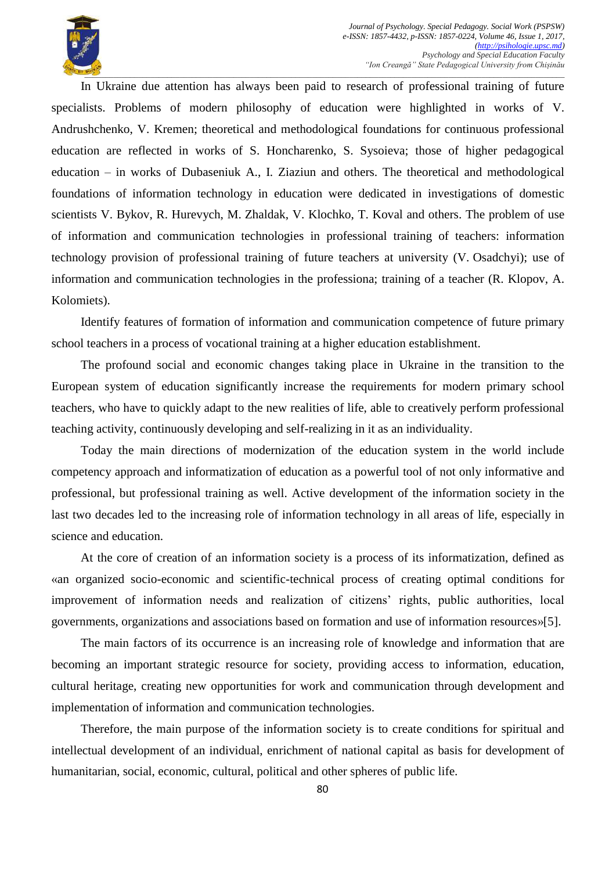

In Ukraine due attention has always been paid to research of professional training of future specialists. Problems of modern philosophy of education were highlighted in works of V. Andrushchenko, V. Kremen; theoretical and methodological foundations for continuous professional education are reflected in works of S. Honcharenko, S. Sysoieva; those of higher pedagogical education – in works of Dubaseniuk A., I. Ziaziun and others. The theoretical and methodological foundations of information technology in education were dedicated in investigations of domestic scientists V. Bykov, R. Hurevych, M. Zhaldak, V. Klochko, T. Koval and others. The problem of use of information and communication technologies in professional training of teachers: information technology provision of professional training of future teachers at university (V. Osadchyi); use of information and communication technologies in the professiona; training of a teacher (R. Klopov, A. Kolomiets).

Identify features of formation of information and communication competence of future primary school teachers in a process of vocational training at a higher education establishment.

The profound social and economic changes taking place in Ukraine in the transition to the European system of education significantly increase the requirements for modern primary school teachers, who have to quickly adapt to the new realities of life, able to creatively perform professional teaching activity, continuously developing and self-realizing in it as an individuality.

Today the main directions of modernization of the education system in the world include competency approach and informatization of education as a powerful tool of not only informative and professional, but professional training as well. Active development of the information society in the last two decades led to the increasing role of information technology in all areas of life, especially in science and education.

At the core of creation of an information society is a process of its informatization, defined as «an organized socio-economic and scientific-technical process of creating optimal conditions for improvement of information needs and realization of citizens' rights, public authorities, local governments, organizations and associations based on formation and use of information resources»[5].

The main factors of its occurrence is an increasing role of knowledge and information that are becoming an important strategic resource for society, providing access to information, education, cultural heritage, creating new opportunities for work and communication through development and implementation of information and communication technologies.

Therefore, the main purpose of the information society is to create conditions for spiritual and intellectual development of an individual, enrichment of national capital as basis for development of humanitarian, social, economic, cultural, political and other spheres of public life.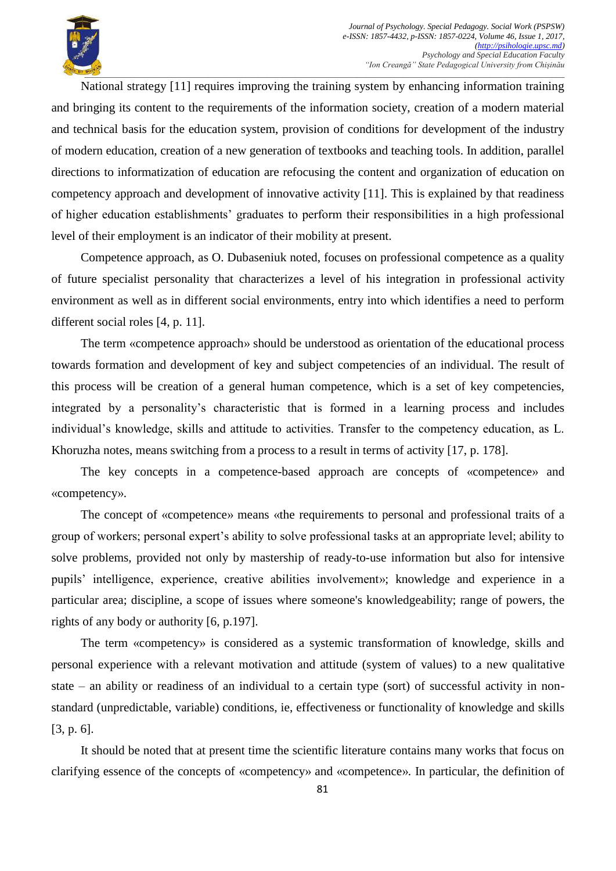National strategy [11] requires improving the training system by enhancing information training and bringing its content to the requirements of the information society, creation of a modern material and technical basis for the education system, provision of conditions for development of the industry of modern education, creation of a new generation of textbooks and teaching tools. In addition, parallel directions to informatization of education are refocusing the content and organization of education on competency approach and development of innovative activity [11]. This is explained by that readiness of higher education establishments' graduates to perform their responsibilities in a high professional level of their employment is an indicator of their mobility at present.

Competence approach, as O. Dubaseniuk noted, focuses on professional competence as a quality of future specialist personality that characterizes a level of his integration in professional activity environment as well as in different social environments, entry into which identifies a need to perform different social roles [4, p. 11].

The term «competence approach» should be understood as orientation of the educational process towards formation and development of key and subject competencies of an individual. The result of this process will be creation of a general human competence, which is a set of key competencies, integrated by a personality's characteristic that is formed in a learning process and includes individual's knowledge, skills and attitude to activities. Transfer to the competency education, as L. Khoruzha notes, means switching from a process to a result in terms of activity [17, p. 178].

The key concepts in a competence-based approach are concepts of «competence» and «competency».

The concept of «competence» means «the requirements to personal and professional traits of a group of workers; personal expert's ability to solve professional tasks at an appropriate level; ability to solve problems, provided not only by mastership of ready-to-use information but also for intensive pupils' intelligence, experience, creative abilities involvement»; knowledge and experience in a particular area; discipline, a scope of issues where someone's knowledgeability; range of powers, the rights of any body or authority [6, p.197].

The term «competency» is considered as a systemic transformation of knowledge, skills and personal experience with a relevant motivation and attitude (system of values) to a new qualitative state – an ability or readiness of an individual to a certain type (sort) of successful activity in nonstandard (unpredictable, variable) conditions, ie, effectiveness or functionality of knowledge and skills [3, p. 6].

It should be noted that at present time the scientific literature contains many works that focus on clarifying essence of the concepts of «competency» and «competence». In particular, the definition of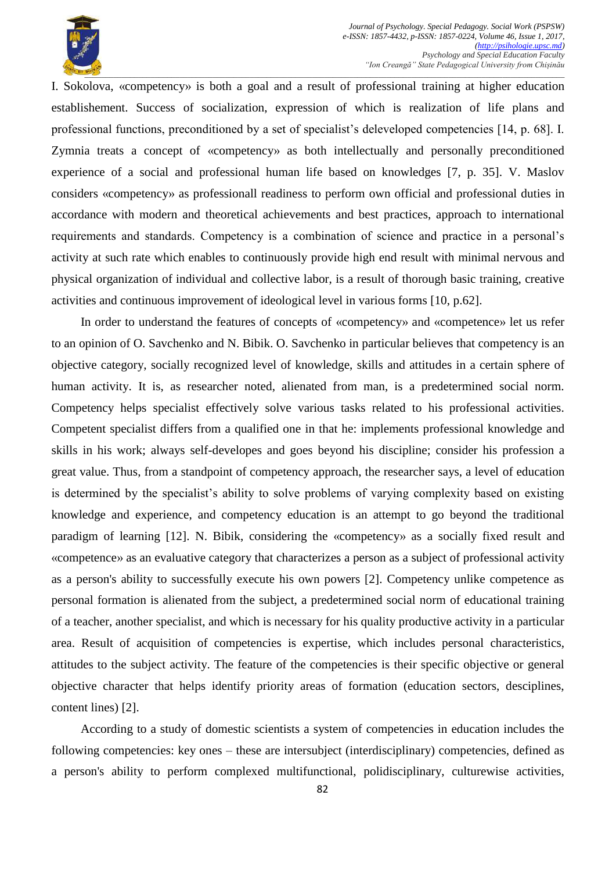

I. Sokolova, «competency» is both a goal and a result of professional training at higher education establishement. Success of socialization, expression of which is realization of life plans and professional functions, preconditioned by a set of specialist's deleveloped competencies [14, p. 68]. I. Zymnia treats a concept of «competency» as both intellectually and personally preconditioned experience of a social and professional human life based on knowledges [7, p. 35]. V. Maslov considers «competency» as professionall readiness to perform own official and professional duties in accordance with modern and theoretical achievements and best practices, approach to international requirements and standards. Competency is a combination of science and practice in a personal's activity at such rate which enables to continuously provide high end result with minimal nervous and physical organization of individual and collective labor, is a result of thorough basic training, creative activities and continuous improvement of ideological level in various forms [10, p.62].

In order to understand the features of concepts of «competency» and «competence» let us refer to an opinion of O. Savchenko and N. Bibik. O. Savchenko in particular believes that competency is an objective category, socially recognized level of knowledge, skills and attitudes in a certain sphere of human activity. It is, as researcher noted, alienated from man, is a predetermined social norm. Competency helps specialist effectively solve various tasks related to his professional activities. Competent specialist differs from a qualified one in that he: implements professional knowledge and skills in his work; always self-developes and goes beyond his discipline; consider his profession a great value. Thus, from a standpoint of competency approach, the researcher says, a level of education is determined by the specialist's ability to solve problems of varying complexity based on existing knowledge and experience, and competency education is an attempt to go beyond the traditional paradigm of learning [12]. N. Bibik, considering the «competency» as a socially fixed result and «competence» as an evaluative category that characterizes a person as a subject of professional activity as a person's ability to successfully execute his own powers [2]. Competency unlike competence as personal formation is alienated from the subject, a predetermined social norm of educational training of a teacher, another specialist, and which is necessary for his quality productive activity in a particular area. Result of acquisition of competencies is expertise, which includes personal characteristics, attitudes to the subject activity. The feature of the competencies is their specific objective or general objective character that helps identify priority areas of formation (education sectors, desciplines, content lines) [2].

According to a study of domestic scientists a system of competencies in education includes the following competencies: key ones – these are intersubject (interdisciplinary) competencies, defined as a person's ability to perform complexed multifunctional, polidisciplinary, culturewise activities,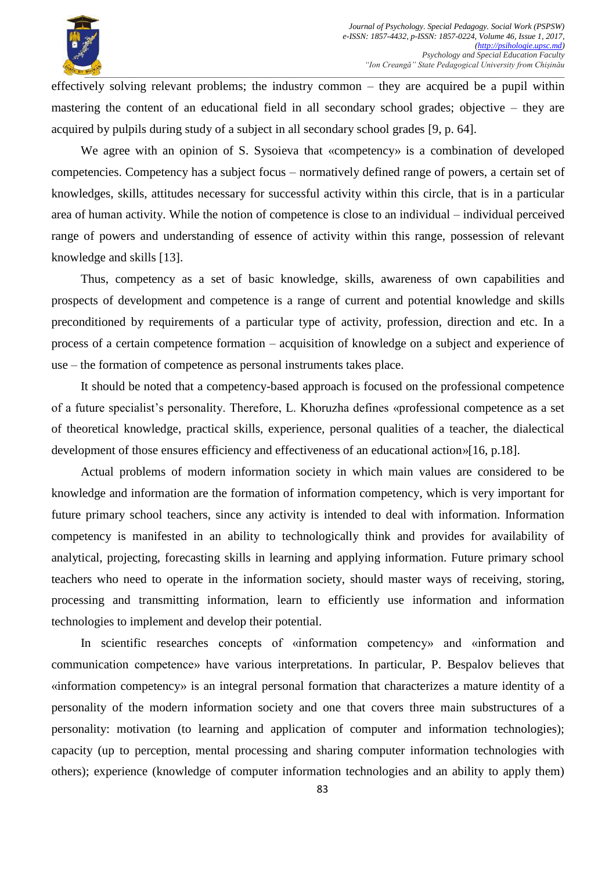

effectively solving relevant problems; the industry common – they are acquired be a pupil within mastering the content of an educational field in all secondary school grades; objective – they are acquired by pulpils during study of a subject in all secondary school grades [9, p. 64].

We agree with an opinion of S. Sysoieva that «competency» is a combination of developed competencies. Competency has a subject focus – normatively defined range of powers, a certain set of knowledges, skills, attitudes necessary for successful activity within this circle, that is in a particular area of human activity. While the notion of competence is close to an individual – individual perceived range of powers and understanding of essence of activity within this range, possession of relevant knowledge and skills [13].

Thus, competency as a set of basic knowledge, skills, awareness of own capabilities and prospects of development and competence is a range of current and potential knowledge and skills preconditioned by requirements of a particular type of activity, profession, direction and etc. In a process of a certain competence formation – acquisition of knowledge on a subject and experience of use – the formation of competence as personal instruments takes place.

It should be noted that a competency-based approach is focused on the professional competence of a future specialist's personality. Therefore, L. Khoruzha defines «professional competence as a set of theoretical knowledge, practical skills, experience, personal qualities of a teacher, the dialectical development of those ensures efficiency and effectiveness of an educational action»[16, p.18].

Actual problems of modern information society in which main values are considered to be knowledge and information are the formation of information competency, which is very important for future primary school teachers, since any activity is intended to deal with information. Information competency is manifested in an ability to technologically think and provides for availability of analytical, projecting, forecasting skills in learning and applying information. Future primary school teachers who need to operate in the information society, should master ways of receiving, storing, processing and transmitting information, learn to efficiently use information and information technologies to implement and develop their potential.

In scientific researches concepts of «information competency» and «information and communication competence» have various interpretations. In particular, P. Bespalov believes that «information competency» is an integral personal formation that characterizes a mature identity of a personality of the modern information society and one that covers three main substructures of a personality: motivation (to learning and application of computer and information technologies); capacity (up to perception, mental processing and sharing computer information technologies with others); experience (knowledge of computer information technologies and an ability to apply them)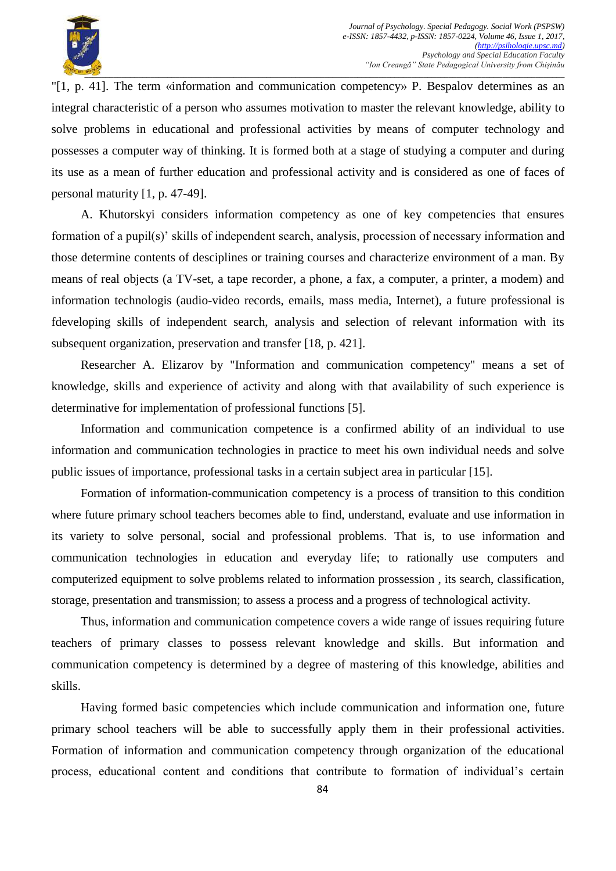

"[1, p. 41]. The term «information and communication competency» P. Bespalov determines as an integral characteristic of a person who assumes motivation to master the relevant knowledge, ability to solve problems in educational and professional activities by means of computer technology and possesses a computer way of thinking. It is formed both at a stage of studying a computer and during its use as a mean of further education and professional activity and is considered as one of faces of personal maturity [1, p. 47-49].

A. Khutorskyi considers information competency as one of key competencies that ensures formation of a pupil(s)' skills of independent search, analysis, procession of necessary information and those determine contents of desciplines or training courses and characterize environment of a man. By means of real objects (a TV-set, a tape recorder, a phone, a fax, a computer, a printer, a modem) and information technologis (audio-video records, emails, mass media, Internet), a future professional is fdeveloping skills of independent search, analysis and selection of relevant information with its subsequent organization, preservation and transfer [18, p. 421].

Researcher A. Elizarov by "Information and communication competency" means a set of knowledge, skills and experience of activity and along with that availability of such experience is determinative for implementation of professional functions [5].

Information and communication competence is a confirmed ability of an individual to use information and communication technologies in practice to meet his own individual needs and solve public issues of importance, professional tasks in a certain subject area in particular [15].

Formation of information-communication competency is a process of transition to this condition where future primary school teachers becomes able to find, understand, evaluate and use information in its variety to solve personal, social and professional problems. That is, to use information and communication technologies in education and everyday life; to rationally use computers and computerized equipment to solve problems related to information prossession , its search, classification, storage, presentation and transmission; to assess a process and a progress of technological activity.

Thus, information and communication competence covers a wide range of issues requiring future teachers of primary classes to possess relevant knowledge and skills. But information and communication competency is determined by a degree of mastering of this knowledge, abilities and skills.

Having formed basic competencies which include communication and information one, future primary school teachers will be able to successfully apply them in their professional activities. Formation of information and communication competency through organization of the educational process, educational content and conditions that contribute to formation of individual's certain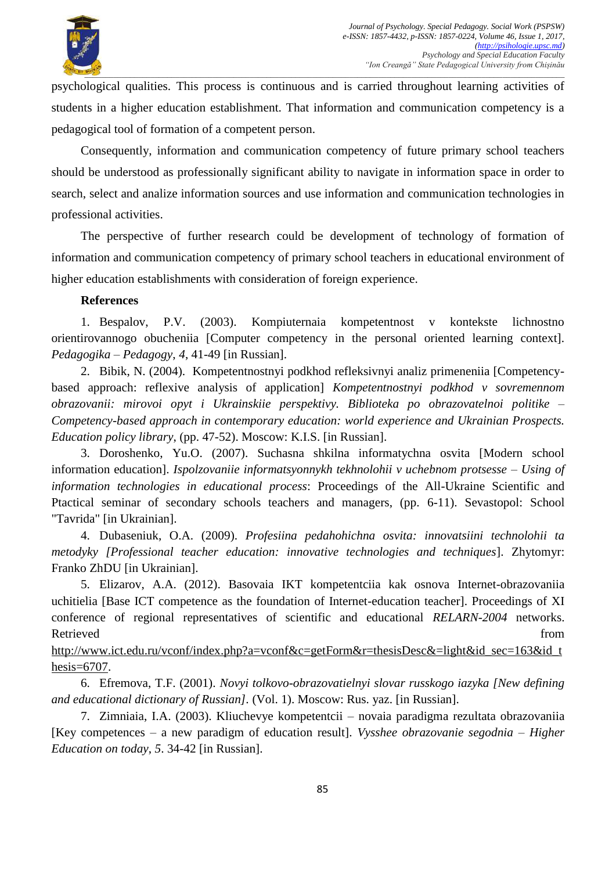

psychological qualities. This process is continuous and is carried throughout learning activities of students in a higher education establishment. That information and communication competency is a pedagogical tool of formation of a competent person.

Consequently, information and communication competency of future primary school teachers should be understood as professionally significant ability to navigate in information space in order to search, select and analize information sources and use information and communication technologies in professional activities.

The perspective of further research could be development of technology of formation of information and communication competency of primary school teachers in educational environment of higher education establishments with consideration of foreign experience.

## **References**

1. Bespalov, P.V. (2003). Kompiuternaia kompetentnost v kontekste lichnostno orientirovannogo obucheniia [Computer competency in the personal oriented learning context]. *Pedagogika – Pedagogy*, *4*, 41-49 [in Russian].

2. Bibik, N. (2004). Kompetentnostnyi podkhod refleksivnyi analiz primeneniia [Competencybased approach: reflexive analysis of application] *Kompetentnostnyi podkhod v sovremennom obrazovanii: mirovoi opyt i Ukrainskiie perspektivy. Biblioteka po obrazovatelnoi politike – Competency-based approach in contemporary education: world experience and Ukrainian Prospects. Education policy library*, (pp. 47-52). Moscow: K.I.S. [in Russian].

3. Doroshenko, Yu.O. (2007). Suchasna shkilna informatychna osvita [Modern school information education]. *Ispolzovaniie informatsyonnykh tekhnolohii v uchebnom protsesse – Using of information technologies in educational process*: Proceedings of the All-Ukraine Scientific and Ptactical seminar of secondary schools teachers and managers, (pp. 6-11). Sevastopol: School "Tavrida" [in Ukrainian].

4. Dubaseniuk, O.A. (2009). *Profesiina pedahohichna osvita: innovatsiini technolohii ta metodyky [Professional teacher education: innovative technologies and techniques*]. Zhytomyr: Franko ZhDU [in Ukrainian].

5. Elizarov, A.A. (2012). Basovaia IKT kompetentciia kak osnova Internet-obrazovaniia uchitielia [Base ICT competence as the foundation of Internet-education teacher]. Proceedings of XI conference of regional representatives of scientific and educational *RELARN-2004* networks. Retrieved from the state of the state of the state of the state of the state of the state of the state of the state of the state of the state of the state of the state of the state of the state of the state of the state of

[http://www.ict.edu.ru/vconf/index.php?a=vconf&c=getForm&r=thesisDesc&=light&id\\_sec=163&id\\_t](http://www.ict.edu.ru/vconf/index.php?a=vconf&c=getForm&r=thesisDesc&=light&id_sec=163&id_thesis=6707) [hesis=6707.](http://www.ict.edu.ru/vconf/index.php?a=vconf&c=getForm&r=thesisDesc&=light&id_sec=163&id_thesis=6707)

6. Efremova, T.F. (2001). *Novyi tolkovo-obrazovatielnyi slovar russkogo iazyka [New defining and educational dictionary of Russian].* (Vol. 1). Moscow: Rus. yaz. [in Russian].

7. Zimniaia, I.A. (2003). Kliuchevye kompetentcii – novaia paradigma rezultata obrazovaniia [Key competences – a new paradigm of education result]. *Vysshee obrazovanie segodnia – Higher Education on today*, *5*. 34-42 [in Russian].